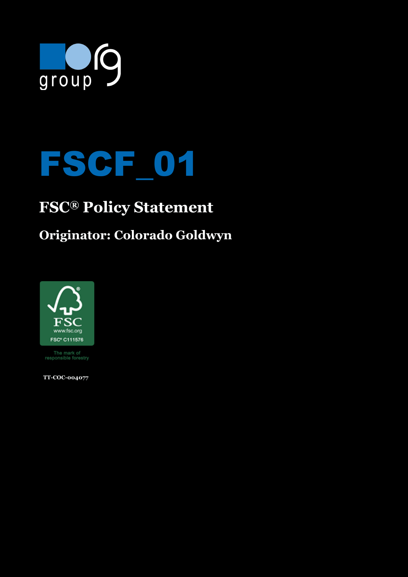

# FSCF\_01

# **FSC® Policy Statement**

### **Originator: Colorado Goldwyn**



The mark of<br>responsible forestry

 **TT-COC-004077**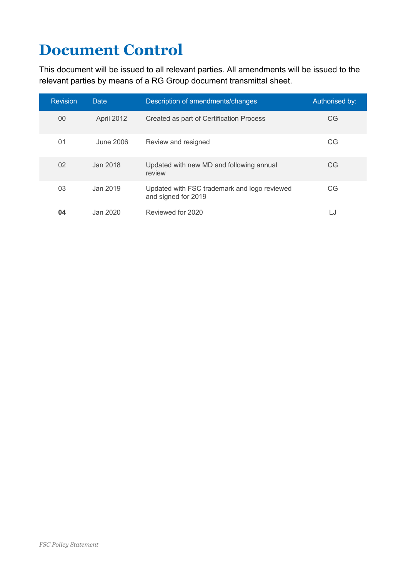# **Document Control**

This document will be issued to all relevant parties. All amendments will be issued to the relevant parties by means of a RG Group document transmittal sheet.

| <b>Revision</b> | Date       | Description of amendments/changes                                   | Authorised by: |
|-----------------|------------|---------------------------------------------------------------------|----------------|
| 00              | April 2012 | Created as part of Certification Process                            | CG             |
| 01              | June 2006  | Review and resigned                                                 | <b>CG</b>      |
| 02              | Jan 2018   | Updated with new MD and following annual<br>review                  | CG             |
| 03              | Jan 2019   | Updated with FSC trademark and logo reviewed<br>and signed for 2019 | <b>CG</b>      |
| 04              | Jan 2020   | Reviewed for 2020                                                   | LJ             |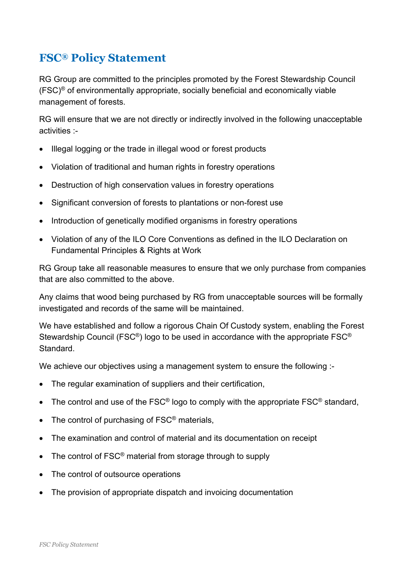#### **FSC® Policy Statement**

RG Group are committed to the principles promoted by the Forest Stewardship Council  $(FSC)^{\circ}$  of environmentally appropriate, socially beneficial and economically viable management of forests.

RG will ensure that we are not directly or indirectly involved in the following unacceptable activities :-

- Illegal logging or the trade in illegal wood or forest products
- Violation of traditional and human rights in forestry operations
- Destruction of high conservation values in forestry operations
- Significant conversion of forests to plantations or non-forest use
- Introduction of genetically modified organisms in forestry operations
- Violation of any of the ILO Core Conventions as defined in the ILO Declaration on Fundamental Principles & Rights at Work

RG Group take all reasonable measures to ensure that we only purchase from companies that are also committed to the above.

Any claims that wood being purchased by RG from unacceptable sources will be formally investigated and records of the same will be maintained.

We have established and follow a rigorous Chain Of Custody system, enabling the Forest Stewardship Council (FSC<sup>®</sup>) logo to be used in accordance with the appropriate FSC<sup>®</sup> Standard.

We achieve our objectives using a management system to ensure the following :-

- The regular examination of suppliers and their certification,
- The control and use of the  $FSC^{\circledast}$  logo to comply with the appropriate  $FSC^{\circledast}$  standard,
- The control of purchasing of FSC<sup>®</sup> materials,
- The examination and control of material and its documentation on receipt
- The control of  $FSC^{\circledast}$  material from storage through to supply
- The control of outsource operations
- The provision of appropriate dispatch and invoicing documentation